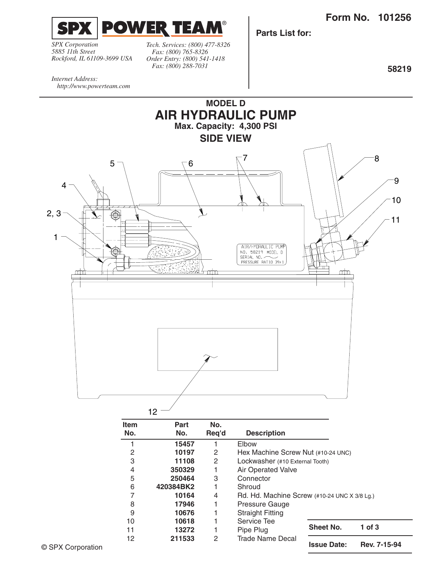**Form No. 101256**

**Sheet No. 1 of 3**

**Issue Date: Rev. 7-15-94**



*SPX Corporation 5885 11th Street Rockford, IL 61109-3699 USA* *Tech. Services: (800) 477-8326 Fax: (800) 765-8326 Order Entry: (800) 541-1418 Fax: (800) 288-7031*

**Parts List for:**

**58219**

*Internet Address: http://www.powerteam.com*



11 **13272** 1 Pipe Plug

12 **211533** 2 Trade Name Decal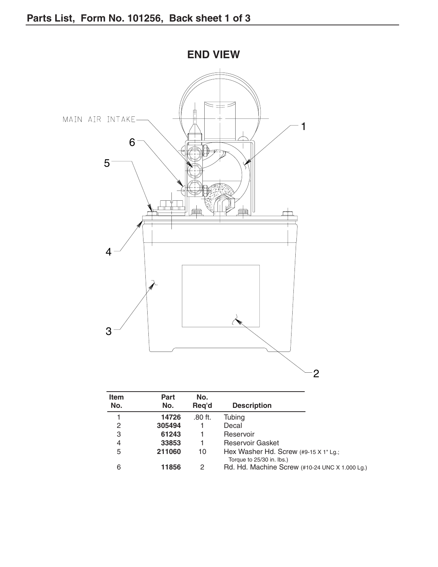

| <b>Item</b><br>No. | Part<br>No. | No.<br>Reg'd | <b>Description</b>                                                        |
|--------------------|-------------|--------------|---------------------------------------------------------------------------|
|                    | 14726       | $.80$ ft.    | Tubing                                                                    |
| 2                  | 305494      |              | Decal                                                                     |
| 3                  | 61243       |              | Reservoir                                                                 |
| 4                  | 33853       | 1            | <b>Reservoir Gasket</b>                                                   |
| 5                  | 211060      | 10           | Hex Washer Hd. Screw $(49-15 \times 1)$ Lg.;<br>Torque to 25/30 in. lbs.) |
| 6                  | 11856       | 2            | Rd. Hd. Machine Screw (#10-24 UNC X 1.000 Lg.)                            |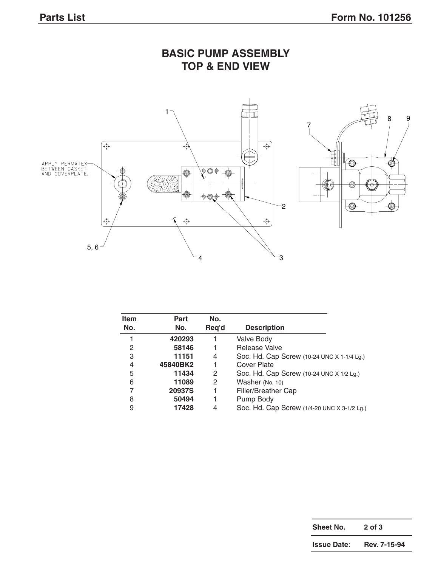

| <b>Item</b><br>No. | <b>Part</b><br>No. | No.<br>Reg'd |                                             |  |
|--------------------|--------------------|--------------|---------------------------------------------|--|
|                    |                    |              | <b>Description</b>                          |  |
|                    | 420293             |              | <b>Valve Body</b>                           |  |
| 2                  | 58146              | 1            | Release Valve                               |  |
| 3                  | 11151              | 4            | Soc. Hd. Cap Screw (10-24 UNC X 1-1/4 Lg.)  |  |
| 4                  | 45840BK2           | 1            | <b>Cover Plate</b>                          |  |
| 5                  | 11434              | 2            | Soc. Hd. Cap Screw (10-24 UNC X 1/2 Lg.)    |  |
| 6                  | 11089              | 2            | Washer (No. 10)                             |  |
|                    | <b>20937S</b>      | 1            | Filler/Breather Cap                         |  |
| 8                  | 50494              | 1            | Pump Body                                   |  |
| 9                  | 17428              | 4            | Soc. Hd. Cap Screw (1/4-20 UNC X 3-1/2 Lg.) |  |

## **BASIC PUMP ASSEMBLY**

| Sheet No.          | $2$ of $3$   |  |
|--------------------|--------------|--|
| <b>Issue Date:</b> | Rev. 7-15-94 |  |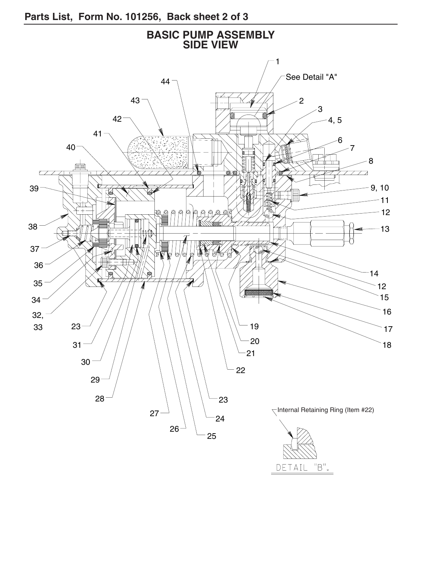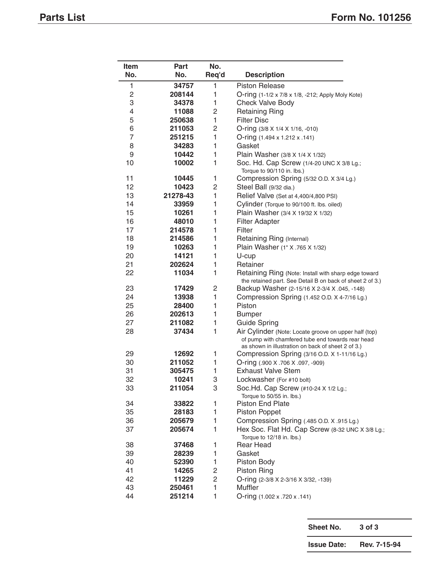| Item           | Part     | No.   |                                                                                                                                                                  |
|----------------|----------|-------|------------------------------------------------------------------------------------------------------------------------------------------------------------------|
| No.            | No.      | Req'd | <b>Description</b>                                                                                                                                               |
| 1              | 34757    | 1     | <b>Piston Release</b>                                                                                                                                            |
| 2              | 208144   | 1     | O-ring (1-1/2 x 7/8 x 1/8, -212; Apply Moly Kote)                                                                                                                |
| 3              | 34378    | 1     | Check Valve Body                                                                                                                                                 |
| 4              | 11088    | 2     | <b>Retaining Ring</b>                                                                                                                                            |
| 5              | 250638   | 1     | <b>Filter Disc</b>                                                                                                                                               |
| 6              | 211053   | 2     | O-ring (3/8 X 1/4 X 1/16, -010)                                                                                                                                  |
| $\overline{7}$ | 251215   | 1     | O-ring (1.494 x 1.212 x .141)                                                                                                                                    |
| 8              | 34283    | 1     | Gasket                                                                                                                                                           |
| 9              | 10442    | 1     | Plain Washer (3/8 X 1/4 X 1/32)                                                                                                                                  |
| 10             | 10002    | 1     | Soc. Hd. Cap Screw (1/4-20 UNC X 3/8 Lg.;<br>Torque to 90/110 in. lbs.)                                                                                          |
| 11             | 10445    | 1     | Compression Spring (5/32 O.D. X 3/4 Lg.)                                                                                                                         |
| 12             | 10423    | 2     | Steel Ball (9/32 dia.)                                                                                                                                           |
| 13             | 21278-43 | 1     | Relief Valve (Set at 4,400/4,800 PSI)                                                                                                                            |
| 14             | 33959    | 1     | Cylinder (Torque to 90/100 ft. lbs. oiled)                                                                                                                       |
| 15             | 10261    | 1     | Plain Washer (3/4 X 19/32 X 1/32)                                                                                                                                |
| 16             | 48010    | 1     | <b>Filter Adapter</b>                                                                                                                                            |
| 17             | 214578   | 1     | Filter                                                                                                                                                           |
| 18             | 214586   | 1     | Retaining Ring (Internal)                                                                                                                                        |
| 19             | 10263    | 1     | Plain Washer (1" X .765 X 1/32)                                                                                                                                  |
| 20             | 14121    | 1     | U-cup                                                                                                                                                            |
| 21             | 202624   | 1     | Retainer                                                                                                                                                         |
| 22             | 11034    | 1     | Retaining Ring (Note: Install with sharp edge toward<br>the retained part. See Detail B on back of sheet 2 of 3.)                                                |
| 23             | 17429    | 2     | Backup Washer (2-15/16 X 2-3/4 X .045, -148)                                                                                                                     |
| 24             | 13938    | 1     | Compression Spring (1.452 O.D. X 4-7/16 Lg.)                                                                                                                     |
| 25             | 28400    | 1     | Piston                                                                                                                                                           |
| 26             | 202613   | 1     | <b>Bumper</b>                                                                                                                                                    |
| 27             | 211082   | 1     | <b>Guide Spring</b>                                                                                                                                              |
| 28             | 37434    | 1     | Air Cylinder (Note: Locate groove on upper half (top)<br>of pump with chamfered tube end towards rear head<br>as shown in illustration on back of sheet 2 of 3.) |
| 29             | 12692    | 1     | Compression Spring (3/16 O.D. X 1-11/16 Lg.)                                                                                                                     |
| 30             | 211052   | 1     | O-ring (.900 X .706 X .097, -909)                                                                                                                                |
| 31             | 305475   | 1     | <b>Exhaust Valve Stem</b>                                                                                                                                        |
| 32             | 10241    | 3     | Lockwasher (For #10 bolt)                                                                                                                                        |
| 33             | 211054   | 3     | Soc.Hd. Cap Screw (#10-24 X 1/2 Lg.;<br>Torque to 50/55 in. lbs.)                                                                                                |
| 34             | 33822    | 1     | Piston End Plate                                                                                                                                                 |
| 35             | 28183    | 1     | <b>Piston Poppet</b>                                                                                                                                             |
| 36             | 205679   | 1     | Compression Spring (.485 O.D. X .915 Lg.)                                                                                                                        |
| 37             | 205674   | 1     | Hex Soc. Flat Hd. Cap Screw (8-32 UNC X 3/8 Lg.;                                                                                                                 |
| 38             | 37468    | 1     | Torque to 12/18 in. lbs.)<br><b>Rear Head</b>                                                                                                                    |
| 39             | 28239    | 1     | Gasket                                                                                                                                                           |
| 40             | 52390    | 1     | Piston Body                                                                                                                                                      |
| 41             | 14265    | 2     | Piston Ring                                                                                                                                                      |
| 42             | 11229    | 2     | O-ring (2-3/8 X 2-3/16 X 3/32, -139)                                                                                                                             |
| 43             | 250461   | 1     | Muffler                                                                                                                                                          |
| 44             | 251214   | 1     | O-ring (1.002 x .720 x .141)                                                                                                                                     |